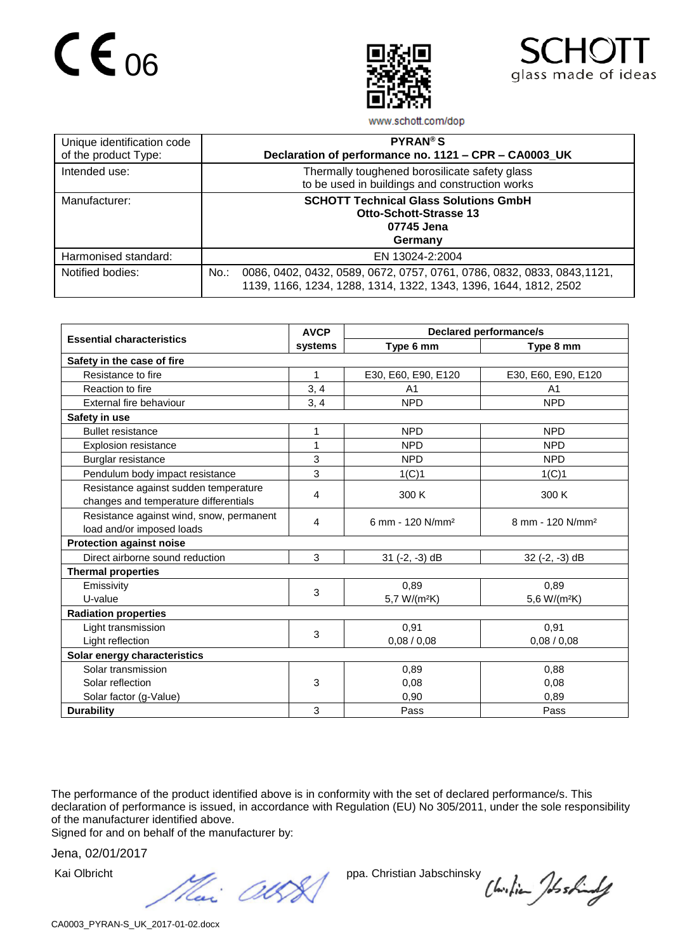## $CE_{06}$





www.schott.com/dop

| Unique identification code<br>of the product Type: | <b>PYRAN®S</b><br>Declaration of performance no. 1121 - CPR - CA0003_UK                                                                             |  |  |
|----------------------------------------------------|-----------------------------------------------------------------------------------------------------------------------------------------------------|--|--|
| Intended use:                                      | Thermally toughened borosilicate safety glass<br>to be used in buildings and construction works                                                     |  |  |
| Manufacturer:                                      | <b>SCHOTT Technical Glass Solutions GmbH</b><br><b>Otto-Schott-Strasse 13</b><br>07745 Jena<br>Germany                                              |  |  |
| Harmonised standard:                               | EN 13024-2:2004                                                                                                                                     |  |  |
| Notified bodies:                                   | 0086, 0402, 0432, 0589, 0672, 0757, 0761, 0786, 0832, 0833, 0843, 1121,<br>No.:<br>1139, 1166, 1234, 1288, 1314, 1322, 1343, 1396, 1644, 1812, 2502 |  |  |

|                                          | <b>AVCP</b> | <b>Declared performance/s</b> |                              |  |  |  |  |
|------------------------------------------|-------------|-------------------------------|------------------------------|--|--|--|--|
| <b>Essential characteristics</b>         | systems     | Type 6 mm                     | Type 8 mm                    |  |  |  |  |
| Safety in the case of fire               |             |                               |                              |  |  |  |  |
| Resistance to fire                       | 1           | E30, E60, E90, E120           | E30, E60, E90, E120          |  |  |  |  |
| Reaction to fire                         | 3, 4        | A <sub>1</sub>                | A <sub>1</sub>               |  |  |  |  |
| External fire behaviour                  | 3, 4        | <b>NPD</b>                    | <b>NPD</b>                   |  |  |  |  |
| Safety in use                            |             |                               |                              |  |  |  |  |
| <b>Bullet resistance</b>                 | 1           | <b>NPD</b>                    | <b>NPD</b>                   |  |  |  |  |
| <b>Explosion resistance</b>              | 1           | <b>NPD</b>                    | <b>NPD</b>                   |  |  |  |  |
| Burglar resistance                       | 3           | <b>NPD</b>                    | <b>NPD</b>                   |  |  |  |  |
| Pendulum body impact resistance          | 3           | 1(C)1                         | 1(C)1                        |  |  |  |  |
| Resistance against sudden temperature    | 4           | 300 K                         | 300 K                        |  |  |  |  |
| changes and temperature differentials    |             |                               |                              |  |  |  |  |
| Resistance against wind, snow, permanent | 4           | 6 mm - 120 N/mm <sup>2</sup>  | 8 mm - 120 N/mm <sup>2</sup> |  |  |  |  |
| load and/or imposed loads                |             |                               |                              |  |  |  |  |
| <b>Protection against noise</b>          |             |                               |                              |  |  |  |  |
| Direct airborne sound reduction          | 3           | $31$ (-2, -3) dB              | $32$ (-2, -3) dB             |  |  |  |  |
| <b>Thermal properties</b>                |             |                               |                              |  |  |  |  |
| Emissivity                               | 3           | 0,89                          | 0,89                         |  |  |  |  |
| U-value                                  |             | 5,7 W/(m <sup>2</sup> K)      | 5,6 W/(m <sup>2</sup> K)     |  |  |  |  |
| <b>Radiation properties</b>              |             |                               |                              |  |  |  |  |
| Light transmission                       | 3           | 0,91                          | 0,91                         |  |  |  |  |
| Light reflection                         |             | 0,08/0,08                     | 0,08/0,08                    |  |  |  |  |
| Solar energy characteristics             |             |                               |                              |  |  |  |  |
| Solar transmission                       |             | 0,89                          | 0,88                         |  |  |  |  |
| Solar reflection                         | 3           | 0,08                          | 0.08                         |  |  |  |  |
| Solar factor (g-Value)                   |             | 0,90                          | 0,89                         |  |  |  |  |
| <b>Durability</b>                        | 3           | Pass                          | Pass                         |  |  |  |  |

The performance of the product identified above is in conformity with the set of declared performance/s. This declaration of performance is issued, in accordance with Regulation (EU) No 305/2011, under the sole responsibility of the manufacturer identified above.

Signed for and on behalf of the manufacturer by:

Jena, 02/01/2017

Kai Olbricht ppa. Christian Jabschinsky<br>
Heri (ICOS)

Chilian Joshindy